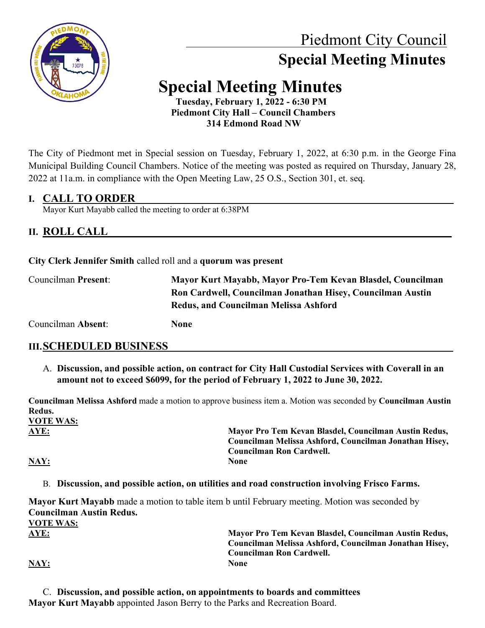

# Piedmont City Council  **Special Meeting Minutes**

# **Special Meeting Minutes Tuesday, February 1, 2022 - 6:30 PM**

 **Piedmont City Hall – Council Chambers 314 Edmond Road NW**

The City of Piedmont met in Special session on Tuesday, February 1, 2022, at 6:30 p.m. in the George Fina Municipal Building Council Chambers. Notice of the meeting was posted as required on Thursday, January 28, 2022 at 11a.m. in compliance with the Open Meeting Law, 25 O.S., Section 301, et. seq.

### **I. CALL TO ORDER\_\_\_\_\_\_\_\_\_\_\_\_\_\_\_\_\_\_\_\_\_\_\_\_\_\_\_\_\_\_\_\_\_\_\_\_\_\_\_\_\_\_\_\_\_\_\_\_\_\_\_\_\_\_\_\_\_\_\_\_\_\_\_\_\_\_\_**

Mayor Kurt Mayabb called the meeting to order at 6:38PM

## **II. ROLL CALL**

**City Clerk Jennifer Smith** called roll and a **quorum was present**

Councilman **Present**: **Mayor Kurt Mayabb, Mayor Pro-Tem Kevan Blasdel, Councilman Ron Cardwell, Councilman Jonathan Hisey, Councilman Austin Redus, and Councilman Melissa Ashford**

Councilman **Absent**: **None**

## **III.SCHEDULED BUSINESS**

A. **Discussion, and possible action, on contract for City Hall Custodial Services with Coverall in an amount not to exceed \$6099, for the period of February 1, 2022 to June 30, 2022.**

**Councilman Melissa Ashford** made a motion to approve business item a. Motion was seconded by **Councilman Austin Redus. VOTE WAS:**

**AYE: Mayor Pro Tem Kevan Blasdel, Councilman Austin Redus, Councilman Melissa Ashford, Councilman Jonathan Hisey, Councilman Ron Cardwell.**

### **NAY: None**

B. **Discussion, and possible action, on utilities and road construction involving Frisco Farms.**

**Mayor Kurt Mayabb** made a motion to table item b until February meeting. Motion was seconded by **Councilman Austin Redus.** 

**VOTE WAS: AYE: Mayor Pro Tem Kevan Blasdel, Councilman Austin Redus, Councilman Melissa Ashford, Councilman Jonathan Hisey, Councilman Ron Cardwell. NAY: None**

C. **Discussion, and possible action, on appointments to boards and committees Mayor Kurt Mayabb** appointed Jason Berry to the Parks and Recreation Board.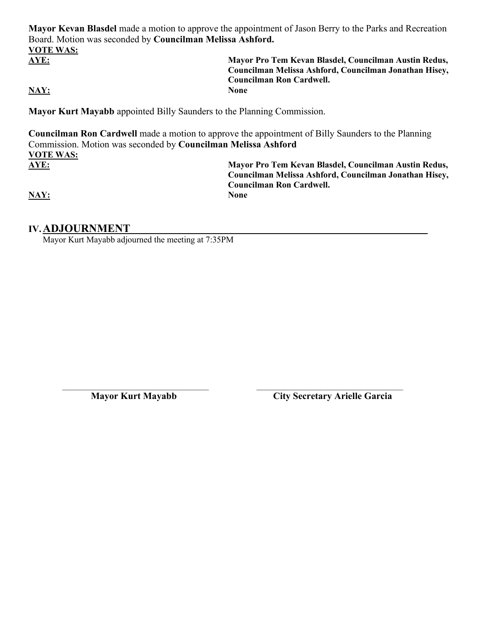**Mayor Kevan Blasdel** made a motion to approve the appointment of Jason Berry to the Parks and Recreation Board. Motion was seconded by **Councilman Melissa Ashford. VOTE WAS: AYE: Mayor Pro Tem Kevan Blasdel, Councilman Austin Redus,** 

**NAY: None**

**Councilman Melissa Ashford, Councilman Jonathan Hisey, Councilman Ron Cardwell.**

**Mayor Kurt Mayabb** appointed Billy Saunders to the Planning Commission.

**Councilman Ron Cardwell** made a motion to approve the appointment of Billy Saunders to the Planning Commission. Motion was seconded by **Councilman Melissa Ashford VOTE WAS: AYE: Mayor Pro Tem Kevan Blasdel, Councilman Austin Redus, Councilman Melissa Ashford, Councilman Jonathan Hisey,** 

**NAY: None**

**Councilman Ron Cardwell.**

### **IV.ADJOURNMENT \_\_\_\_\_\_**

Mayor Kurt Mayabb adjourned the meeting at 7:35PM

\_\_\_\_\_\_\_\_\_\_\_\_\_\_\_\_\_\_\_\_\_\_\_\_\_\_\_\_\_\_\_\_\_\_\_\_\_ \_\_\_\_\_\_\_\_\_\_\_\_\_\_\_\_\_\_\_\_\_\_\_\_\_\_\_\_\_\_\_\_\_\_\_\_\_

 **Mayor Kurt Mayabb City Secretary Arielle Garcia**